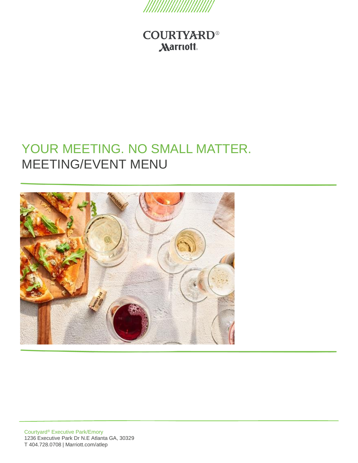

**COURTYARD® Marriott** 

## YOUR MEETING. NO SMALL MATTER. MEETING/EVENT MENU



Courtyard® Executive Park/Emory 1236 Executive Park Dr N.E Atlanta GA, 30329 T 404.728.0708 | Marriott.com/atlep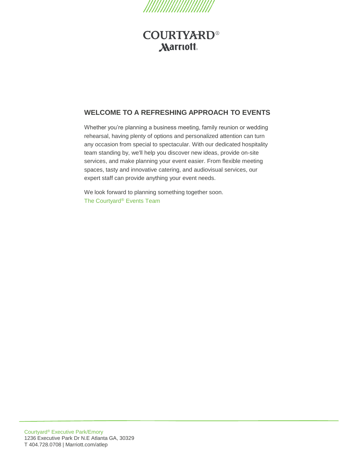

### **COURTYARD® Aarriott**

#### **WELCOME TO A REFRESHING APPROACH TO EVENTS**

Whether you're planning a business meeting, family reunion or wedding rehearsal, having plenty of options and personalized attention can turn any occasion from special to spectacular. With our dedicated hospitality team standing by, we'll help you discover new ideas, provide on-site services, and make planning your event easier. From flexible meeting spaces, tasty and innovative catering, and audiovisual services, our expert staff can provide anything your event needs.

We look forward to planning something together soon. The Courtyard® Events Team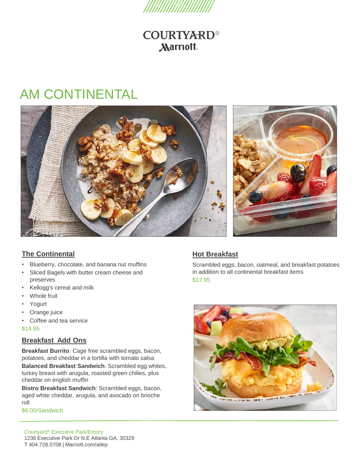

### **COURTYARD® Aarriott**

## AM CONTINENTAL





- Blueberry, chocolate, and banana nut muffins
- Sliced Bagels with butter cream cheese and preserves
- Kellogg's cereal and milk
- Whole fruit
- Yogurt
- Orange juice
- Coffee and tea service
- \$14.95

#### **Breakfast Add Ons**

**Breakfast Burrito**: Cage free scrambled eggs, bacon, potatoes, and cheddar in a tortilla with tomato salsa

**Balanced Breakfast Sandwich**: Scrambled egg whites, turkey breast with arugula, roasted green chilies, plus cheddar on english muffin

**Bistro Breakfast Sandwich**: Scrambled eggs, bacon, aged white cheddar, arugula, and avocado on brioche roll

\$6.00/Sandwich

### **Hot Breakfast**

Scrambled eggs, bacon, oatmeal, and breakfast potatoes in addition to all continental breakfast items \$17.95

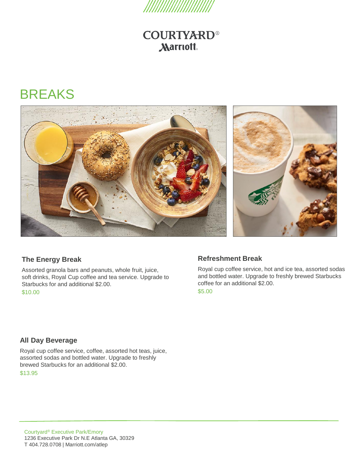

### **COURTYARD® Marriott**

## BREAKS



#### **The Energy Break**

Assorted granola bars and peanuts, whole fruit, juice, soft drinks, Royal Cup coffee and tea service. Upgrade to Starbucks for and additional \$2.00. \$10.00

#### **Refreshment Break**

Royal cup coffee service, hot and ice tea, assorted sodas and bottled water. Upgrade to freshly brewed Starbucks coffee for an additional \$2.00. \$5.00

#### **All Day Beverage**

Royal cup coffee service, coffee, assorted hot teas, juice, assorted sodas and bottled water. Upgrade to freshly brewed Starbucks for an additional \$2.00. \$13.95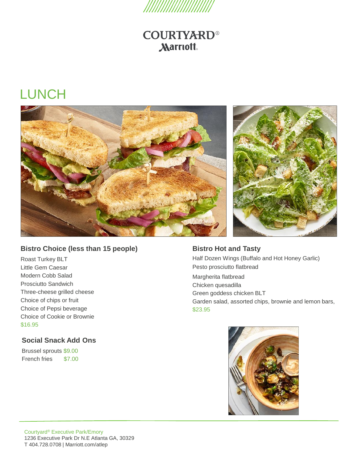

## **COURTYARD® Aarriott**

# **LUNCH**



#### **Bistro Choice (less than 15 people)**

Roast Turkey BLT Little Gem Caesar Modern Cobb Salad Prosciutto Sandwich Three-cheese grilled cheese Choice of chips or fruit Choice of Pepsi beverage Choice of Cookie or Brownie \$16.95

#### **Social Snack Add Ons**

Brussel sprouts \$9.00 French fries \$7.00



**Bistro Hot and Tasty**  Half Dozen Wings (Buffalo and Hot Honey Garlic) Pesto prosciutto flatbread Margherita flatbread Chicken quesadilla Green goddess chicken BLT Garden salad, assorted chips, brownie and lemon bars, \$23.95